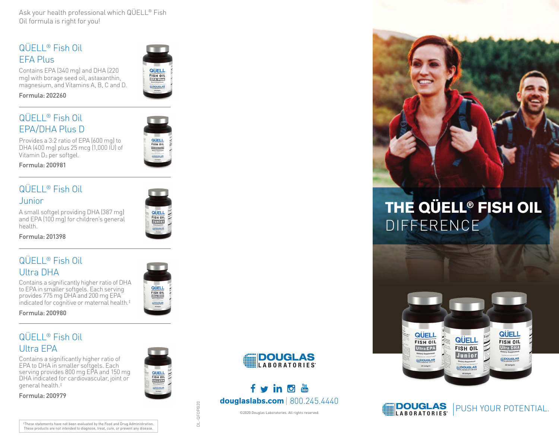Ask your health professional which QÜELL® Fish Oil formula is right for you!

## QÜELL® Fish Oil EFA Plus

Contains EPA (340 mg) and DHA (220 mg) with borage seed oil, astaxanthin, magnesium, and Vitamins A, B, C and D.

Formula: 202260

## QÜELL® Fish Oil EPA/DHA Plus D

**QUELL**<br>FISH OIL Provides a 3:2 ratio of EPA (600 mg) to DHA (400 mg) plus 25 mcg (1,000 IU) of

QUELL FISH OIL **EFA Plus DOUGLAS** 



### QÜELL® Fish Oil Junior

Vitamin D<sub>3</sub> per softgel.

A small softgel providing DHA (387 mg) and EPA (100 mg) for children's general health.



Formula: 201398

# QÜELL® Fish Oil Ultra DHA

Contains a significantly higher ratio of DHA to EPA in smaller softgels. Each serving provides 775 mg DHA and 200 mg EPA indicated for cognitive or maternal health.‡



Formula: 200980

# QÜELL® Fish Oil Ultra EPA

Contains a significantly higher ratio of EPA to DHA in smaller softgels. Each serving provides 800 mg EPA and 150 mg DHA indicated for cardiovascular, joint or general health.‡

Formula: 200979





# fvindin  $d$ ouglaslabs.com | 800.245.4440

©2020 Douglas Laboratories. All rights reserved.



# THE QÜELL® FISH OIL DIFFERENCE





‡These statements have not been evaluated by the Food and Drug Administration. These products are not intended to diagnose, treat, cure, or prevent any disease.

QFOPB20 DL-QFOPB20 ā